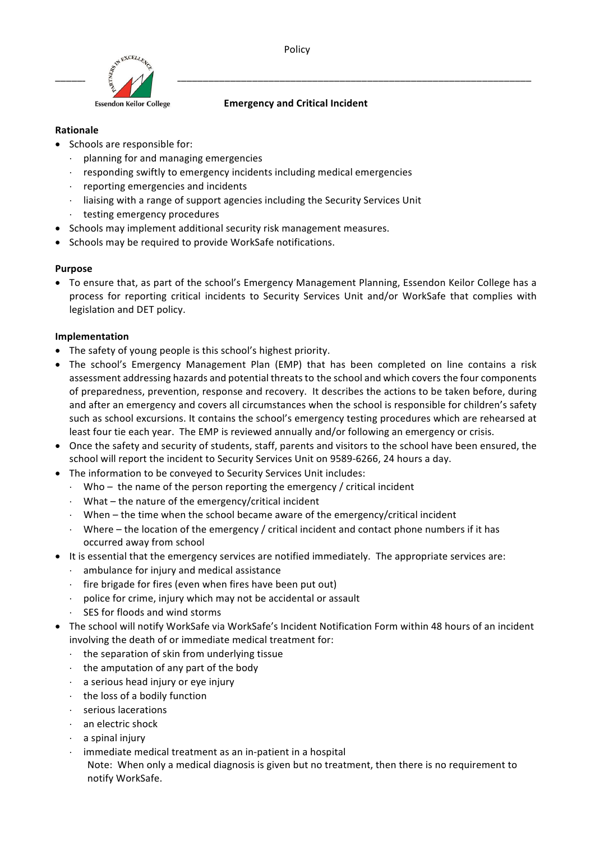



#### **Emergency and Critical Incident**

### **Rationale**

- Schools are responsible for:
	- $\cdot$  planning for and managing emergencies
	- responding swiftly to emergency incidents including medical emergencies
	- $\cdot$  reporting emergencies and incidents
	- $\cdot$  liaising with a range of support agencies including the Security Services Unit
	- $\cdot$  testing emergency procedures
- Schools may implement additional security risk management measures.
- Schools may be required to provide WorkSafe notifications.

# **Purpose**

• To ensure that, as part of the school's Emergency Management Planning, Essendon Keilor College has a process for reporting critical incidents to Security Services Unit and/or WorkSafe that complies with legislation and DET policy.

# **Implementation**

- The safety of young people is this school's highest priority.
- The school's Emergency Management Plan (EMP) that has been completed on line contains a risk assessment addressing hazards and potential threats to the school and which covers the four components of preparedness, prevention, response and recovery. It describes the actions to be taken before, during and after an emergency and covers all circumstances when the school is responsible for children's safety such as school excursions. It contains the school's emergency testing procedures which are rehearsed at least four tie each year. The EMP is reviewed annually and/or following an emergency or crisis.
- Once the safety and security of students, staff, parents and visitors to the school have been ensured, the school will report the incident to Security Services Unit on 9589-6266, 24 hours a day.
- The information to be conveyed to Security Services Unit includes:
	- Who the name of the person reporting the emergency / critical incident
	- $\cdot$  What the nature of the emergency/critical incident
	- $\cdot$  When the time when the school became aware of the emergency/critical incident
	- $\cdot$  Where the location of the emergency / critical incident and contact phone numbers if it has occurred away from school
- It is essential that the emergency services are notified immediately. The appropriate services are:
	- $\cdot$  ambulance for injury and medical assistance
	- $\cdot$  fire brigade for fires (even when fires have been put out)
	- $\cdot$  police for crime, injury which may not be accidental or assault
	- $\cdot$  SES for floods and wind storms
- The school will notify WorkSafe via WorkSafe's Incident Notification Form within 48 hours of an incident involving the death of or immediate medical treatment for:
	- $\cdot$  the separation of skin from underlying tissue
	- $\cdot$  the amputation of any part of the body
	- $\cdot$  a serious head injury or eye injury
	- $\cdot$  the loss of a bodily function
	- × serious lacerations
	- an electric shock
	- a spinal injury
	- immediate medical treatment as an in-patient in a hospital Note: When only a medical diagnosis is given but no treatment, then there is no requirement to notify WorkSafe.